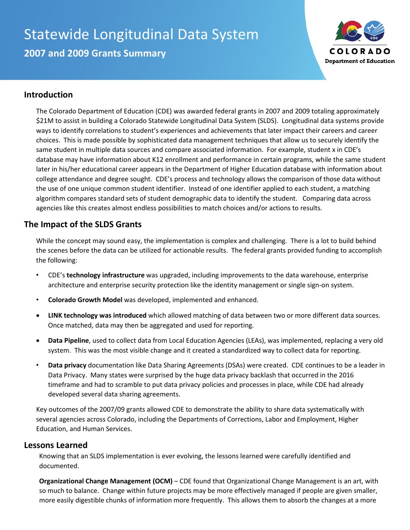# Statewide Longitudinal Data System

**2007 and 2009 Grants Summary**



### **Introduction**

The Colorado Department of Education (CDE) was awarded federal grants in 2007 and 2009 totaling approximately \$21M to assist in building a Colorado Statewide Longitudinal Data System (SLDS). Longitudinal data systems provide ways to identify correlations to student's experiences and achievements that later impact their careers and career choices. This is made possible by sophisticated data management techniques that allow us to securely identify the same student in multiple data sources and compare associated information. For example, student x in CDE's database may have information about K12 enrollment and performance in certain programs, while the same student later in his/her educational career appears in the Department of Higher Education database with information about college attendance and degree sought. CDE's process and technology allows the comparison of those data without the use of one unique common student identifier. Instead of one identifier applied to each student, a matching algorithm compares standard sets of student demographic data to identify the student. Comparing data across agencies like this creates almost endless possibilities to match choices and/or actions to results.

## **The Impact of the SLDS Grants**

While the concept may sound easy, the implementation is complex and challenging. There is a lot to build behind the scenes before the data can be utilized for actionable results. The federal grants provided funding to accomplish the following:

- CDE's **technology infrastructure** was upgraded, including improvements to the data warehouse, enterprise architecture and enterprise security protection like the identity management or single sign-on system.
- **Colorado Growth Model** was developed, implemented and enhanced.
- **LINK technology was introduced** which allowed matching of data between two or more different data sources. Once matched, data may then be aggregated and used for reporting.
- **Data Pipeline**, used to collect data from Local Education Agencies (LEAs), was implemented, replacing a very old system. This was the most visible change and it created a standardized way to collect data for reporting.
- **Data privacy** documentation like Data Sharing Agreements (DSAs) were created. CDE continues to be a leader in Data Privacy. Many states were surprised by the huge data privacy backlash that occurred in the 2016 timeframe and had to scramble to put data privacy policies and processes in place, while CDE had already developed several data sharing agreements.

Key outcomes of the 2007/09 grants allowed CDE to demonstrate the ability to share data systematically with several agencies across Colorado, including the Departments of Corrections, Labor and Employment, Higher Education, and Human Services.

#### **Lessons Learned**

Knowing that an SLDS implementation is ever evolving, the lessons learned were carefully identified and documented.

**Organizational Change Management (OCM)** – CDE found that Organizational Change Management is an art, with so much to balance. Change within future projects may be more effectively managed if people are given smaller, more easily digestible chunks of information more frequently. This allows them to absorb the changes at a more